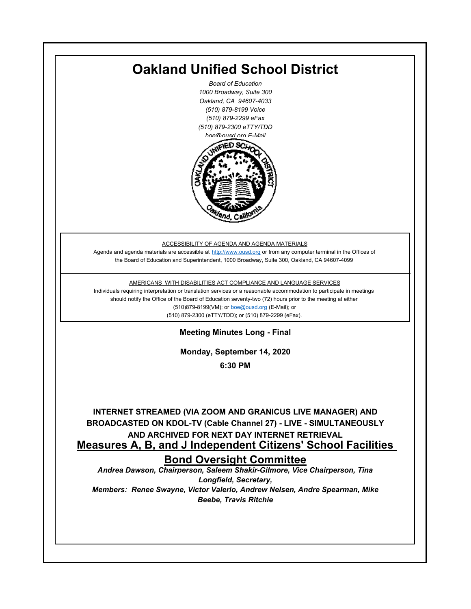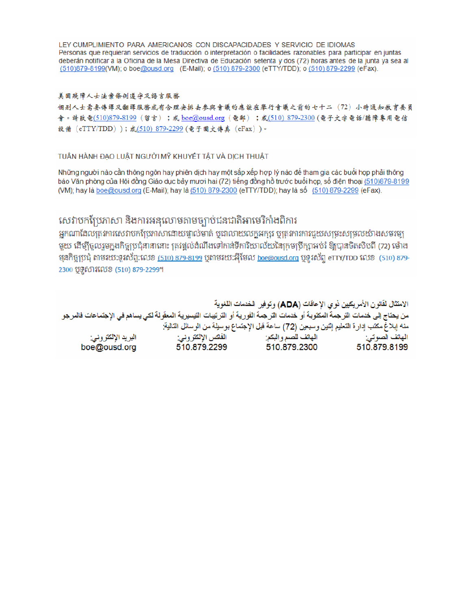LEY CUMPLIMIENTO PARA AMERICANOS CON DISCAPACIDADES Y SERVICIO DE IDIOMAS Personas que requieran servicios de traducción o interpretación o facilidades razonables para participar en juntas deberán notificar a la Oficina de la Mesa Directiva de Educación setenta y dos (72) horas antes de la junta ya sea al (510)879-8199(VM); o boe@ousd.org (E-Mail); o (510) 879-2300 (eTTY/TDD); o (510) 879-2299 (eFax).

#### 美国残障人士法案條例遵守及語言服務

個别人士需要傳譯及翻譯服務或有合理安排去參與會議的應該在舉行會議之前的七十二 (72) 小時通知教育委員 會。請致電(510)879-8199(留言);或 boe@ousd.org (電郵) ;或(510) 879-2300 (電子文字電話/聽障專用電信 設備 (eTTY/TDD));或(510)879-2299(電子圖文傳真 (eFax))。

#### TUÂN HÀNH ĐẠO LUẬT NGƯỜI MỸ KHUYẾT TẤT VÀ DỊCH THUẬT

Những người nào cần thông ngôn hay phiên dịch hay một sắp xếp hợp lý nào để tham gia các buổi họp phải thông báo Văn phòng của Hội đồng Giáo dục bảy mươi hai (72) tiếng đồng hồ trước buổi họp, số điện thoại (510)879-8199 (VM); hay là boe@ousd.org (E-Mail); hay là (510) 879-2300 (eTTY/TDD); hay là số (510) 879-2299 (eFax).

## សេវាបកប្រែភាសា និងការអនុលោមតាមច្បាប់ជនជាតិអាមេរិកាំងពិការ

អកណាដែលតេវការសេវាបកប្រែភាសាដោយផ្ទាល់មាត់ ឬជាលាយលក្ខអក្សរ ឬត្រូវការការជួយសម្រះសម្រលយ៉ាងសមរម្យ មយ ដើម្បីចលរមកងកិច្ចប្រជុំនានានោះ ត្រូវផ្តល់ដំណឹងទៅកាន់ទីការិយាល័យនៃក្រមប្រឹក្សាអប់រំ ឱ្យបានចិតសិបពី (72) ម៉ោង ម្មនកិច្ចប្រជុំ តាមរយៈទូរស័ព្ទ:លេខ (<u>510) 879-8199</u> បុតាមរយៈអ៊ីមែល <u>boe@ousd.org</u> បុទ្**រ**ស័ព្ទ eTTY/TDD លេខ (510) 879-2300 ប៊ូទ្មិសារលេខ (510) 879-2299។

الامتثال لقانون الأمريكيين نو ي الإعاقات (ADA) وتوفير الخدمات اللغوية من يحتاج إلى خدمات التر جمة المكتوبة أو خدمات التر جمة الفورية أو الترتيبات التيسيرية المعفّولة لكي يساهم في الإجتماعات فالمرجو منه إبلاغ مكتب إدارة التعليم إثنين وسبعين (72) ساعة قبل الإجتماع بوسيلة من الوسائل التالية: البريد الإلكتروني: 510.879.2299 boe@ousd.org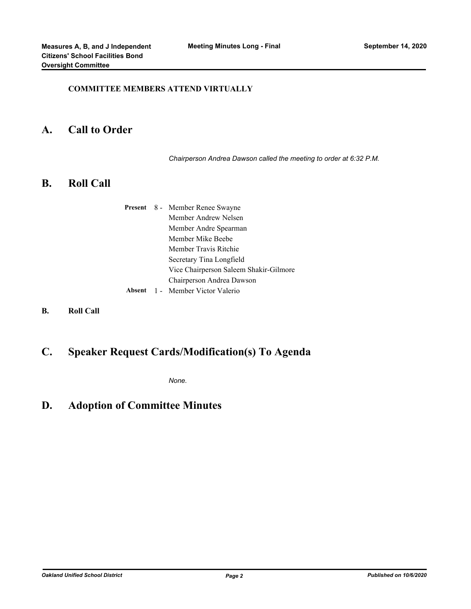#### **COMMITTEE MEMBERS ATTEND VIRTUALLY**

#### **A. Call to Order**

*Chairperson Andrea Dawson called the meeting to order at 6:32 P.M.*

## **B. Roll Call**

|        | <b>Present</b> 8 - Member Renee Swayne |  |
|--------|----------------------------------------|--|
|        | Member Andrew Nelsen                   |  |
|        | Member Andre Spearman                  |  |
|        | Member Mike Beebe                      |  |
|        | Member Travis Ritchie                  |  |
|        | Secretary Tina Longfield               |  |
|        | Vice Chairperson Saleem Shakir-Gilmore |  |
|        | Chairperson Andrea Dawson              |  |
| Absent | 1 - Member Victor Valerio              |  |

**B. Roll Call**

## **C. Speaker Request Cards/Modification(s) To Agenda**

*None.*

## **D. Adoption of Committee Minutes**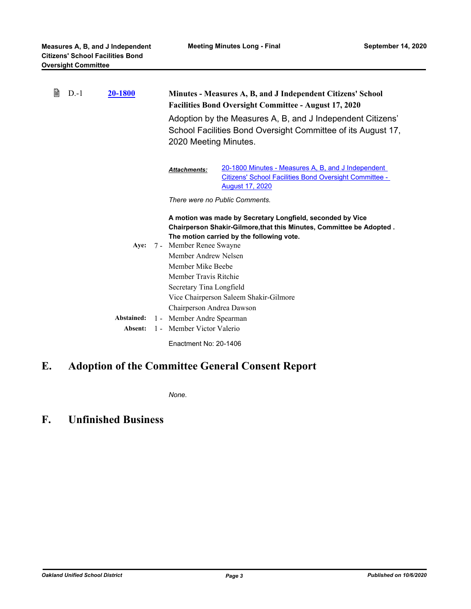| 窅<br><u>20-1800</u><br>$D-1$ |  |            |                           | Minutes - Measures A, B, and J Independent Citizens' School<br><b>Facilities Bond Oversight Committee - August 17, 2020</b>                                                     |                                                                                                                                               |
|------------------------------|--|------------|---------------------------|---------------------------------------------------------------------------------------------------------------------------------------------------------------------------------|-----------------------------------------------------------------------------------------------------------------------------------------------|
|                              |  |            |                           | Adoption by the Measures A, B, and J Independent Citizens'<br>School Facilities Bond Oversight Committee of its August 17,<br>2020 Meeting Minutes.                             |                                                                                                                                               |
|                              |  |            |                           | <b>Attachments:</b>                                                                                                                                                             | 20-1800 Minutes - Measures A, B, and J Independent<br><b>Citizens' School Facilities Bond Oversight Committee -</b><br><b>August 17, 2020</b> |
|                              |  |            |                           |                                                                                                                                                                                 | There were no Public Comments.                                                                                                                |
|                              |  |            |                           | A motion was made by Secretary Longfield, seconded by Vice<br>Chairperson Shakir-Gilmore, that this Minutes, Committee be Adopted.<br>The motion carried by the following vote. |                                                                                                                                               |
|                              |  |            |                           | Aye: 7 - Member Renee Swayne                                                                                                                                                    |                                                                                                                                               |
|                              |  |            |                           | Member Andrew Nelsen                                                                                                                                                            |                                                                                                                                               |
|                              |  |            |                           | Member Mike Beebe                                                                                                                                                               |                                                                                                                                               |
|                              |  |            |                           | Member Travis Ritchie                                                                                                                                                           |                                                                                                                                               |
|                              |  |            |                           | Secretary Tina Longfield                                                                                                                                                        |                                                                                                                                               |
|                              |  |            |                           |                                                                                                                                                                                 | Vice Chairperson Saleem Shakir-Gilmore                                                                                                        |
|                              |  |            |                           | Chairperson Andrea Dawson                                                                                                                                                       |                                                                                                                                               |
|                              |  | Abstained: |                           | 1 - Member Andre Spearman                                                                                                                                                       |                                                                                                                                               |
|                              |  | Absent:    | 1 - Member Victor Valerio |                                                                                                                                                                                 |                                                                                                                                               |
|                              |  |            |                           | Enactment No: 20-1406                                                                                                                                                           |                                                                                                                                               |

# **E. Adoption of the Committee General Consent Report**

*None.*

## **F. Unfinished Business**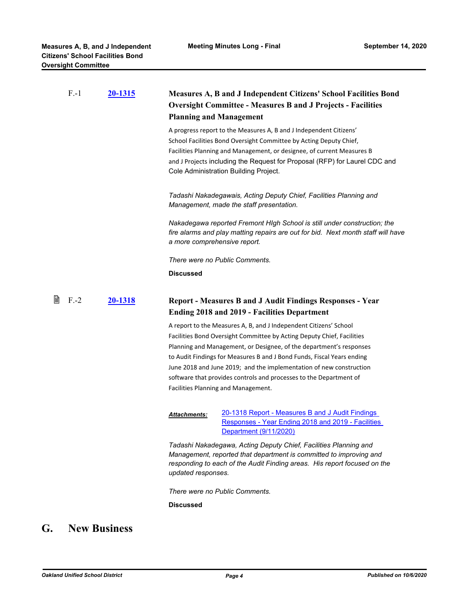|   | $F - 1$ | 20-1315            | <b>Measures A, B and J Independent Citizens' School Facilities Bond</b><br><b>Oversight Committee - Measures B and J Projects - Facilities</b><br><b>Planning and Management</b>                                                                                                                                                                                                                                                                                                 |                                                                                                                                                                                                                                                                                                                                           |
|---|---------|--------------------|----------------------------------------------------------------------------------------------------------------------------------------------------------------------------------------------------------------------------------------------------------------------------------------------------------------------------------------------------------------------------------------------------------------------------------------------------------------------------------|-------------------------------------------------------------------------------------------------------------------------------------------------------------------------------------------------------------------------------------------------------------------------------------------------------------------------------------------|
|   |         |                    |                                                                                                                                                                                                                                                                                                                                                                                                                                                                                  | A progress report to the Measures A, B and J Independent Citizens'<br>School Facilities Bond Oversight Committee by Acting Deputy Chief,<br>Facilities Planning and Management, or designee, of current Measures B<br>and J Projects including the Request for Proposal (RFP) for Laurel CDC and<br>Cole Administration Building Project. |
|   |         |                    |                                                                                                                                                                                                                                                                                                                                                                                                                                                                                  | Tadashi Nakadegawais, Acting Deputy Chief, Facilities Planning and<br>Management, made the staff presentation.                                                                                                                                                                                                                            |
|   |         |                    | a more comprehensive report.                                                                                                                                                                                                                                                                                                                                                                                                                                                     | Nakadegawa reported Fremont HIgh School is still under construction; the<br>fire alarms and play matting repairs are out for bid. Next month staff will have                                                                                                                                                                              |
|   |         |                    |                                                                                                                                                                                                                                                                                                                                                                                                                                                                                  | There were no Public Comments.                                                                                                                                                                                                                                                                                                            |
|   |         |                    | <b>Discussed</b>                                                                                                                                                                                                                                                                                                                                                                                                                                                                 |                                                                                                                                                                                                                                                                                                                                           |
| 閶 | $F - 2$ | 20-1318            |                                                                                                                                                                                                                                                                                                                                                                                                                                                                                  | <b>Report - Measures B and J Audit Findings Responses - Year</b><br><b>Ending 2018 and 2019 - Facilities Department</b>                                                                                                                                                                                                                   |
|   |         |                    | A report to the Measures A, B, and J Independent Citizens' School<br>Facilities Bond Oversight Committee by Acting Deputy Chief, Facilities<br>Planning and Management, or Designee, of the department's responses<br>to Audit Findings for Measures B and J Bond Funds, Fiscal Years ending<br>June 2018 and June 2019; and the implementation of new construction<br>software that provides controls and processes to the Department of<br>Facilities Planning and Management. |                                                                                                                                                                                                                                                                                                                                           |
|   |         |                    | <b>Attachments:</b>                                                                                                                                                                                                                                                                                                                                                                                                                                                              | 20-1318 Report - Measures B and J Audit Findings<br>Responses - Year Ending 2018 and 2019 - Facilities<br>Department (9/11/2020)                                                                                                                                                                                                          |
|   |         | updated responses. |                                                                                                                                                                                                                                                                                                                                                                                                                                                                                  | Tadashi Nakadegawa, Acting Deputy Chief, Facilities Planning and<br>Management, reported that department is committed to improving and<br>responding to each of the Audit Finding areas. His report focused on the                                                                                                                        |
|   |         |                    | <b>Discussed</b>                                                                                                                                                                                                                                                                                                                                                                                                                                                                 | There were no Public Comments.                                                                                                                                                                                                                                                                                                            |

# **G. New Business**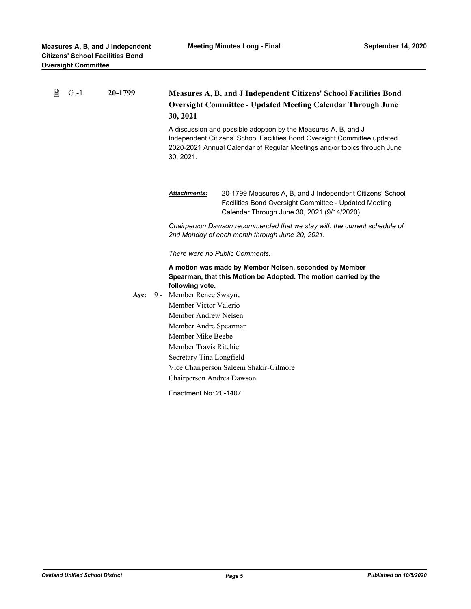| 閶 | $G - 1$ | 20-1799 |  | Measures A, B, and J Independent Citizens' School Facilities Bond<br><b>Oversight Committee - Updated Meeting Calendar Through June</b><br>30, 2021<br>A discussion and possible adoption by the Measures A, B, and J<br>Independent Citizens' School Facilities Bond Oversight Committee updated<br>2020-2021 Annual Calendar of Regular Meetings and/or topics through June<br>30, 2021. |                                                                                                                                                                  |  |
|---|---------|---------|--|--------------------------------------------------------------------------------------------------------------------------------------------------------------------------------------------------------------------------------------------------------------------------------------------------------------------------------------------------------------------------------------------|------------------------------------------------------------------------------------------------------------------------------------------------------------------|--|
|   |         |         |  | <b>Attachments:</b>                                                                                                                                                                                                                                                                                                                                                                        | 20-1799 Measures A, B, and J Independent Citizens' School<br>Facilities Bond Oversight Committee - Updated Meeting<br>Calendar Through June 30, 2021 (9/14/2020) |  |
|   |         |         |  | Chairperson Dawson recommended that we stay with the current schedule of<br>2nd Monday of each month through June 20, 2021.                                                                                                                                                                                                                                                                |                                                                                                                                                                  |  |
|   |         |         |  | There were no Public Comments.                                                                                                                                                                                                                                                                                                                                                             |                                                                                                                                                                  |  |
|   |         |         |  | A motion was made by Member Nelsen, seconded by Member<br>Spearman, that this Motion be Adopted. The motion carried by the<br>following vote.                                                                                                                                                                                                                                              |                                                                                                                                                                  |  |
|   |         | Aye:    |  | 9 - Member Renee Swayne<br>Member Victor Valerio<br>Member Andrew Nelsen<br>Member Andre Spearman<br>Member Mike Beebe<br>Member Travis Ritchie<br>Secretary Tina Longfield                                                                                                                                                                                                                |                                                                                                                                                                  |  |
|   |         |         |  |                                                                                                                                                                                                                                                                                                                                                                                            |                                                                                                                                                                  |  |
|   |         |         |  |                                                                                                                                                                                                                                                                                                                                                                                            |                                                                                                                                                                  |  |
|   |         |         |  |                                                                                                                                                                                                                                                                                                                                                                                            |                                                                                                                                                                  |  |
|   |         |         |  |                                                                                                                                                                                                                                                                                                                                                                                            |                                                                                                                                                                  |  |
|   |         |         |  |                                                                                                                                                                                                                                                                                                                                                                                            |                                                                                                                                                                  |  |
|   |         |         |  | Vice Chairperson Saleem Shakir-Gilmore                                                                                                                                                                                                                                                                                                                                                     |                                                                                                                                                                  |  |
|   |         |         |  | Chairperson Andrea Dawson                                                                                                                                                                                                                                                                                                                                                                  |                                                                                                                                                                  |  |
|   |         |         |  | Enactment No: 20-1407                                                                                                                                                                                                                                                                                                                                                                      |                                                                                                                                                                  |  |
|   |         |         |  |                                                                                                                                                                                                                                                                                                                                                                                            |                                                                                                                                                                  |  |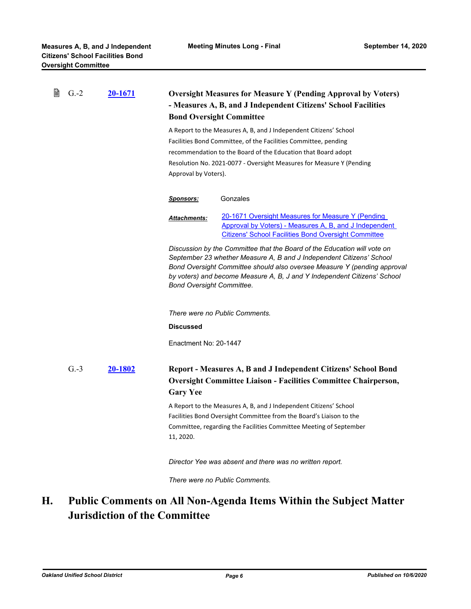| B | $G.-2$ | 20-1671 | <b>Oversight Measures for Measure Y (Pending Approval by Voters)</b><br>- Measures A, B, and J Independent Citizens' School Facilities<br><b>Bond Oversight Committee</b><br>A Report to the Measures A, B, and J Independent Citizens' School<br>Facilities Bond Committee, of the Facilities Committee, pending<br>recommendation to the Board of the Education that Board adopt<br>Resolution No. 2021-0077 - Oversight Measures for Measure Y (Pending<br>Approval by Voters). |                                                                                                                                                                                                                                                                                                          |
|---|--------|---------|------------------------------------------------------------------------------------------------------------------------------------------------------------------------------------------------------------------------------------------------------------------------------------------------------------------------------------------------------------------------------------------------------------------------------------------------------------------------------------|----------------------------------------------------------------------------------------------------------------------------------------------------------------------------------------------------------------------------------------------------------------------------------------------------------|
|   |        |         |                                                                                                                                                                                                                                                                                                                                                                                                                                                                                    |                                                                                                                                                                                                                                                                                                          |
|   |        |         | <u>Sponsors:</u>                                                                                                                                                                                                                                                                                                                                                                                                                                                                   | Gonzales                                                                                                                                                                                                                                                                                                 |
|   |        |         | Attachments:                                                                                                                                                                                                                                                                                                                                                                                                                                                                       | 20-1671 Oversight Measures for Measure Y (Pending<br>Approval by Voters) - Measures A, B, and J Independent<br><b>Citizens' School Facilities Bond Oversight Committee</b>                                                                                                                               |
|   |        |         | <b>Bond Oversight Committee.</b>                                                                                                                                                                                                                                                                                                                                                                                                                                                   | Discussion by the Committee that the Board of the Education will vote on<br>September 23 whether Measure A, B and J Independent Citizens' School<br>Bond Oversight Committee should also oversee Measure Y (pending approval<br>by voters) and become Measure A, B, J and Y Independent Citizens' School |
|   |        |         |                                                                                                                                                                                                                                                                                                                                                                                                                                                                                    | There were no Public Comments.                                                                                                                                                                                                                                                                           |
|   |        |         | <b>Discussed</b>                                                                                                                                                                                                                                                                                                                                                                                                                                                                   |                                                                                                                                                                                                                                                                                                          |
|   |        |         | Enactment No: 20-1447                                                                                                                                                                                                                                                                                                                                                                                                                                                              |                                                                                                                                                                                                                                                                                                          |
|   | $G.-3$ | 20-1802 | <b>Gary Yee</b>                                                                                                                                                                                                                                                                                                                                                                                                                                                                    | Report - Measures A, B and J Independent Citizens' School Bond<br><b>Oversight Committee Liaison - Facilities Committee Chairperson,</b>                                                                                                                                                                 |
|   |        |         | 11, 2020.                                                                                                                                                                                                                                                                                                                                                                                                                                                                          | A Report to the Measures A, B, and J Independent Citizens' School<br>Facilities Bond Oversight Committee from the Board's Liaison to the<br>Committee, regarding the Facilities Committee Meeting of September                                                                                           |
|   |        |         |                                                                                                                                                                                                                                                                                                                                                                                                                                                                                    | Director Yee was absent and there was no written report.                                                                                                                                                                                                                                                 |
|   |        |         |                                                                                                                                                                                                                                                                                                                                                                                                                                                                                    | There were no Public Comments.                                                                                                                                                                                                                                                                           |

#### **Public Comments on All Non-Agenda Items Within the Subject Matter Jurisdiction of the Committee H.**